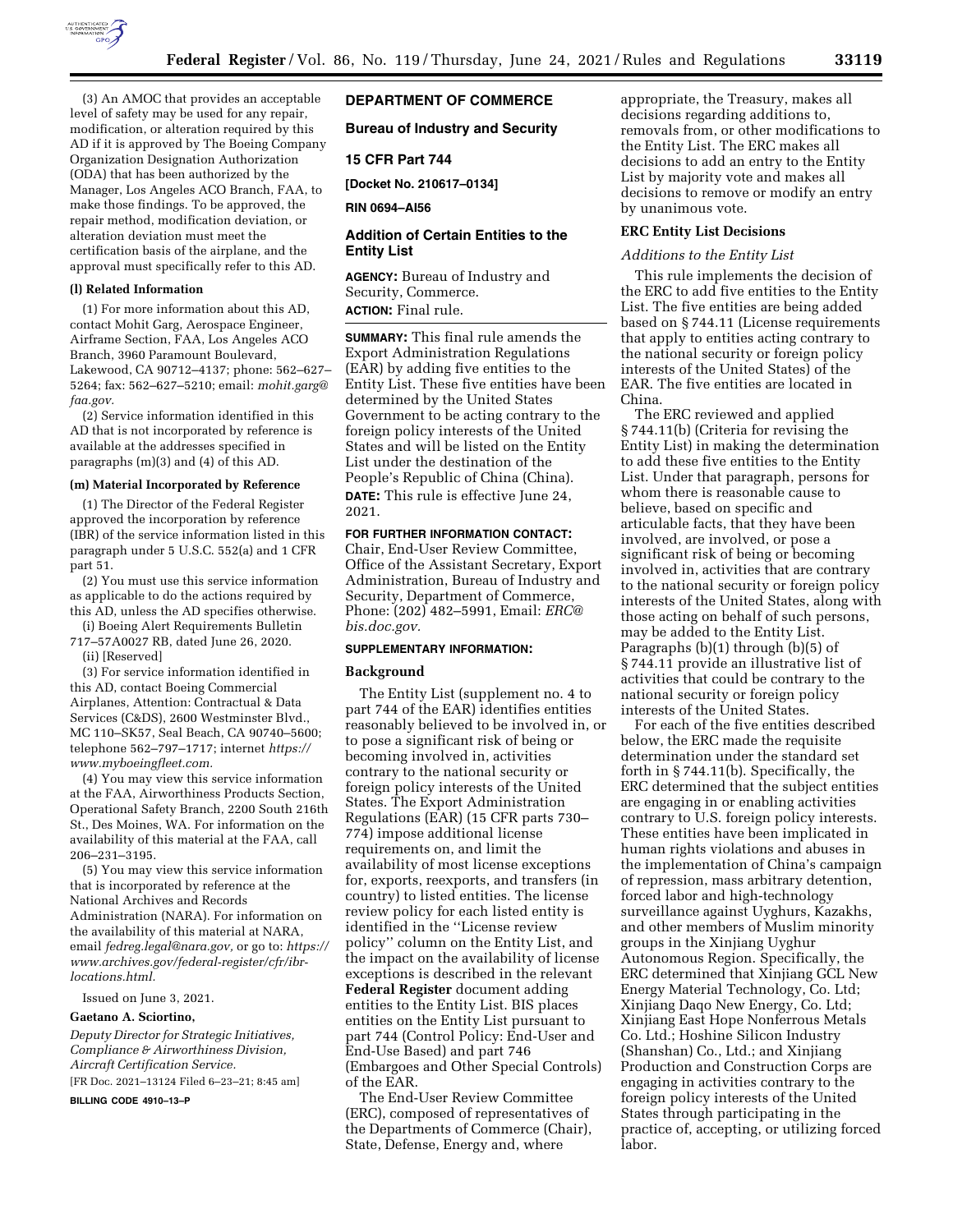

(3) An AMOC that provides an acceptable level of safety may be used for any repair, modification, or alteration required by this AD if it is approved by The Boeing Company Organization Designation Authorization (ODA) that has been authorized by the Manager, Los Angeles ACO Branch, FAA, to make those findings. To be approved, the repair method, modification deviation, or alteration deviation must meet the certification basis of the airplane, and the approval must specifically refer to this AD.

# **(l) Related Information**

(1) For more information about this AD, contact Mohit Garg, Aerospace Engineer, Airframe Section, FAA, Los Angeles ACO Branch, 3960 Paramount Boulevard, Lakewood, CA 90712–4137; phone: 562–627– 5264; fax: 562–627–5210; email: *[mohit.garg@](mailto:mohit.garg@faa.gov) [faa.gov.](mailto:mohit.garg@faa.gov)* 

(2) Service information identified in this AD that is not incorporated by reference is available at the addresses specified in paragraphs (m)(3) and (4) of this AD.

## **(m) Material Incorporated by Reference**

(1) The Director of the Federal Register approved the incorporation by reference (IBR) of the service information listed in this paragraph under 5 U.S.C. 552(a) and 1 CFR part 51.

(2) You must use this service information as applicable to do the actions required by this AD, unless the AD specifies otherwise.

(i) Boeing Alert Requirements Bulletin 717–57A0027 RB, dated June 26, 2020. (ii) [Reserved]

(3) For service information identified in this AD, contact Boeing Commercial Airplanes, Attention: Contractual & Data Services (C&DS), 2600 Westminster Blvd., MC 110–SK57, Seal Beach, CA 90740–5600; telephone 562–797–1717; internet *[https://](https://www.myboeingfleet.com) [www.myboeingfleet.com.](https://www.myboeingfleet.com)* 

(4) You may view this service information at the FAA, Airworthiness Products Section, Operational Safety Branch, 2200 South 216th St., Des Moines, WA. For information on the availability of this material at the FAA, call 206–231–3195.

(5) You may view this service information that is incorporated by reference at the National Archives and Records Administration (NARA). For information on the availability of this material at NARA, email *[fedreg.legal@nara.gov,](mailto:fedreg.legal@nara.gov)* or go to: *[https://](https://www.archives.gov/federal-register/cfr/ibr-locations.html) [www.archives.gov/federal-register/cfr/ibr](https://www.archives.gov/federal-register/cfr/ibr-locations.html)[locations.html.](https://www.archives.gov/federal-register/cfr/ibr-locations.html)* 

Issued on June 3, 2021.

## **Gaetano A. Sciortino,**

*Deputy Director for Strategic Initiatives, Compliance & Airworthiness Division, Aircraft Certification Service.* 

[FR Doc. 2021–13124 Filed 6–23–21; 8:45 am]

**BILLING CODE 4910–13–P** 

# **DEPARTMENT OF COMMERCE**

**Bureau of Industry and Security** 

# **15 CFR Part 744**

**[Docket No. 210617–0134]** 

**RIN 0694–AI56** 

# **Addition of Certain Entities to the Entity List**

**AGENCY:** Bureau of Industry and Security, Commerce. **ACTION:** Final rule.

**SUMMARY:** This final rule amends the Export Administration Regulations (EAR) by adding five entities to the Entity List. These five entities have been determined by the United States Government to be acting contrary to the foreign policy interests of the United States and will be listed on the Entity List under the destination of the People's Republic of China (China).

**DATE:** This rule is effective June 24, 2021.

#### **FOR FURTHER INFORMATION CONTACT:**

Chair, End-User Review Committee, Office of the Assistant Secretary, Export Administration, Bureau of Industry and Security, Department of Commerce, Phone: (202) 482–5991, Email: *[ERC@](mailto:ERC@bis.doc.gov) [bis.doc.gov.](mailto:ERC@bis.doc.gov)* 

## **SUPPLEMENTARY INFORMATION:**

#### **Background**

The Entity List (supplement no. 4 to part 744 of the EAR) identifies entities reasonably believed to be involved in, or to pose a significant risk of being or becoming involved in, activities contrary to the national security or foreign policy interests of the United States. The Export Administration Regulations (EAR) (15 CFR parts 730– 774) impose additional license requirements on, and limit the availability of most license exceptions for, exports, reexports, and transfers (in country) to listed entities. The license review policy for each listed entity is identified in the ''License review policy'' column on the Entity List, and the impact on the availability of license exceptions is described in the relevant **Federal Register** document adding entities to the Entity List. BIS places entities on the Entity List pursuant to part 744 (Control Policy: End-User and End-Use Based) and part 746 (Embargoes and Other Special Controls) of the EAR.

The End-User Review Committee (ERC), composed of representatives of the Departments of Commerce (Chair), State, Defense, Energy and, where

appropriate, the Treasury, makes all decisions regarding additions to, removals from, or other modifications to the Entity List. The ERC makes all decisions to add an entry to the Entity List by majority vote and makes all decisions to remove or modify an entry by unanimous vote.

## **ERC Entity List Decisions**

## *Additions to the Entity List*

This rule implements the decision of the ERC to add five entities to the Entity List. The five entities are being added based on § 744.11 (License requirements that apply to entities acting contrary to the national security or foreign policy interests of the United States) of the EAR. The five entities are located in China.

The ERC reviewed and applied § 744.11(b) (Criteria for revising the Entity List) in making the determination to add these five entities to the Entity List. Under that paragraph, persons for whom there is reasonable cause to believe, based on specific and articulable facts, that they have been involved, are involved, or pose a significant risk of being or becoming involved in, activities that are contrary to the national security or foreign policy interests of the United States, along with those acting on behalf of such persons, may be added to the Entity List. Paragraphs (b)(1) through (b)(5) of § 744.11 provide an illustrative list of activities that could be contrary to the national security or foreign policy interests of the United States.

For each of the five entities described below, the ERC made the requisite determination under the standard set forth in § 744.11(b). Specifically, the ERC determined that the subject entities are engaging in or enabling activities contrary to U.S. foreign policy interests. These entities have been implicated in human rights violations and abuses in the implementation of China's campaign of repression, mass arbitrary detention, forced labor and high-technology surveillance against Uyghurs, Kazakhs, and other members of Muslim minority groups in the Xinjiang Uyghur Autonomous Region. Specifically, the ERC determined that Xinjiang GCL New Energy Material Technology, Co. Ltd; Xinjiang Daqo New Energy, Co. Ltd; Xinjiang East Hope Nonferrous Metals Co. Ltd.; Hoshine Silicon Industry (Shanshan) Co., Ltd.; and Xinjiang Production and Construction Corps are engaging in activities contrary to the foreign policy interests of the United States through participating in the practice of, accepting, or utilizing forced labor.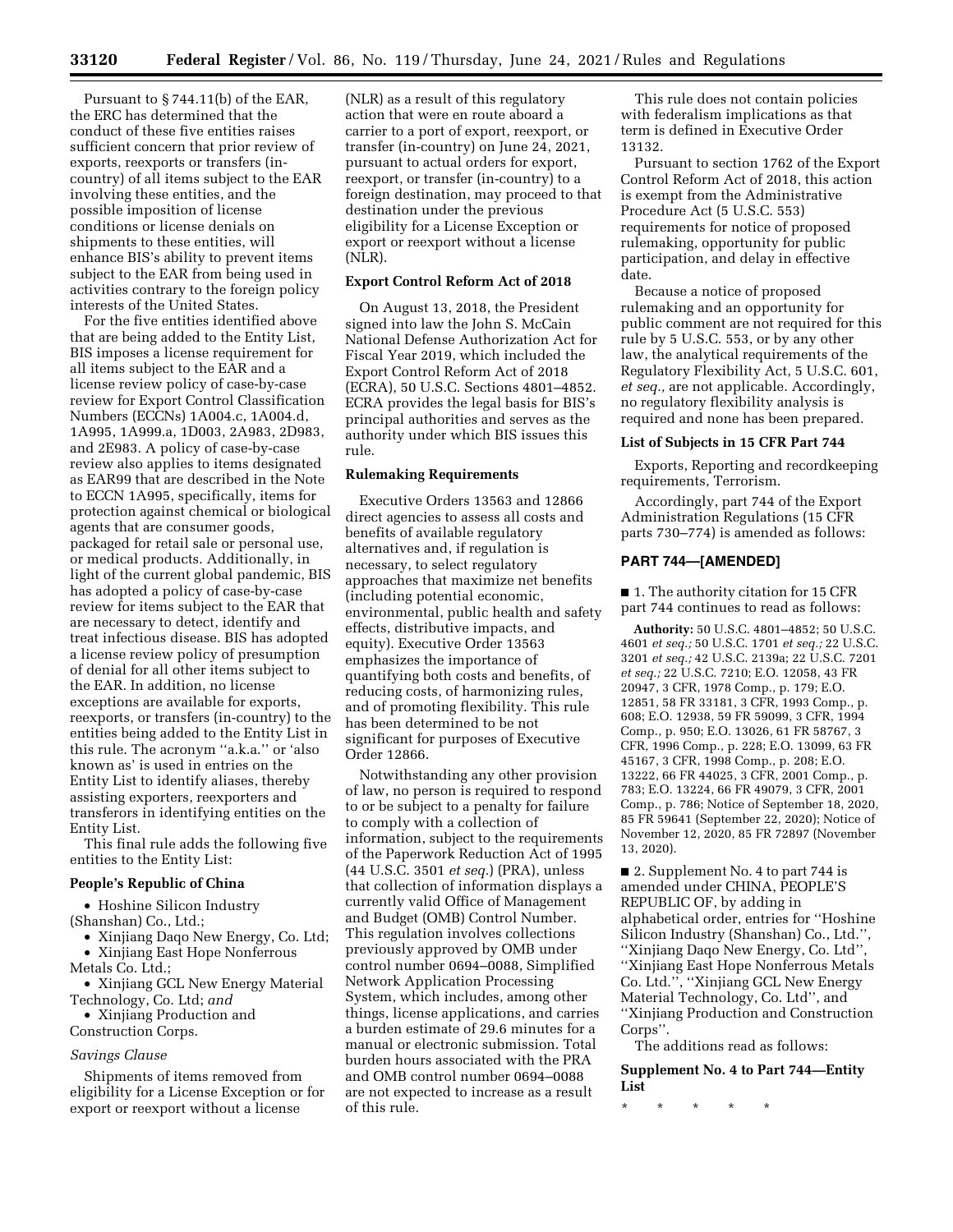Pursuant to § 744.11(b) of the EAR, the ERC has determined that the conduct of these five entities raises sufficient concern that prior review of exports, reexports or transfers (incountry) of all items subject to the EAR involving these entities, and the possible imposition of license conditions or license denials on shipments to these entities, will enhance BIS's ability to prevent items subject to the EAR from being used in activities contrary to the foreign policy interests of the United States.

For the five entities identified above that are being added to the Entity List, BIS imposes a license requirement for all items subject to the EAR and a license review policy of case-by-case review for Export Control Classification Numbers (ECCNs) 1A004.c, 1A004.d, 1A995, 1A999.a, 1D003, 2A983, 2D983, and 2E983. A policy of case-by-case review also applies to items designated as EAR99 that are described in the Note to ECCN 1A995, specifically, items for protection against chemical or biological agents that are consumer goods, packaged for retail sale or personal use, or medical products. Additionally, in light of the current global pandemic, BIS has adopted a policy of case-by-case review for items subject to the EAR that are necessary to detect, identify and treat infectious disease. BIS has adopted a license review policy of presumption of denial for all other items subject to the EAR. In addition, no license exceptions are available for exports, reexports, or transfers (in-country) to the entities being added to the Entity List in this rule. The acronym ''a.k.a.'' or 'also known as' is used in entries on the Entity List to identify aliases, thereby assisting exporters, reexporters and transferors in identifying entities on the Entity List.

This final rule adds the following five entities to the Entity List:

#### **People's Republic of China**

• Hoshine Silicon Industry (Shanshan) Co., Ltd.;

• Xinjiang Daqo New Energy, Co. Ltd; • Xinjiang East Hope Nonferrous

Metals Co. Ltd.; • Xinjiang GCL New Energy Material

Technology, Co. Ltd; *and* 

• Xinjiang Production and

Construction Corps.

# *Savings Clause*

Shipments of items removed from eligibility for a License Exception or for export or reexport without a license

(NLR) as a result of this regulatory action that were en route aboard a carrier to a port of export, reexport, or transfer (in-country) on June 24, 2021, pursuant to actual orders for export, reexport, or transfer (in-country) to a foreign destination, may proceed to that destination under the previous eligibility for a License Exception or export or reexport without a license (NLR).

## **Export Control Reform Act of 2018**

On August 13, 2018, the President signed into law the John S. McCain National Defense Authorization Act for Fiscal Year 2019, which included the Export Control Reform Act of 2018 (ECRA), 50 U.S.C. Sections 4801–4852. ECRA provides the legal basis for BIS's principal authorities and serves as the authority under which BIS issues this rule.

#### **Rulemaking Requirements**

Executive Orders 13563 and 12866 direct agencies to assess all costs and benefits of available regulatory alternatives and, if regulation is necessary, to select regulatory approaches that maximize net benefits (including potential economic, environmental, public health and safety effects, distributive impacts, and equity). Executive Order 13563 emphasizes the importance of quantifying both costs and benefits, of reducing costs, of harmonizing rules, and of promoting flexibility. This rule has been determined to be not significant for purposes of Executive Order 12866.

Notwithstanding any other provision of law, no person is required to respond to or be subject to a penalty for failure to comply with a collection of information, subject to the requirements of the Paperwork Reduction Act of 1995 (44 U.S.C. 3501 *et seq.*) (PRA), unless that collection of information displays a currently valid Office of Management and Budget (OMB) Control Number. This regulation involves collections previously approved by OMB under control number 0694–0088, Simplified Network Application Processing System, which includes, among other things, license applications, and carries a burden estimate of 29.6 minutes for a manual or electronic submission. Total burden hours associated with the PRA and OMB control number 0694–0088 are not expected to increase as a result of this rule.

This rule does not contain policies with federalism implications as that term is defined in Executive Order 13132.

Pursuant to section 1762 of the Export Control Reform Act of 2018, this action is exempt from the Administrative Procedure Act (5 U.S.C. 553) requirements for notice of proposed rulemaking, opportunity for public participation, and delay in effective date.

Because a notice of proposed rulemaking and an opportunity for public comment are not required for this rule by 5 U.S.C. 553, or by any other law, the analytical requirements of the Regulatory Flexibility Act, 5 U.S.C. 601, *et seq.,* are not applicable. Accordingly, no regulatory flexibility analysis is required and none has been prepared.

## **List of Subjects in 15 CFR Part 744**

Exports, Reporting and recordkeeping requirements, Terrorism.

Accordingly, part 744 of the Export Administration Regulations (15 CFR parts 730–774) is amended as follows:

# **PART 744—[AMENDED]**

■ 1. The authority citation for 15 CFR part 744 continues to read as follows:

**Authority:** 50 U.S.C. 4801–4852; 50 U.S.C. 4601 *et seq.;* 50 U.S.C. 1701 *et seq.;* 22 U.S.C. 3201 *et seq.;* 42 U.S.C. 2139a; 22 U.S.C. 7201 *et seq.;* 22 U.S.C. 7210; E.O. 12058, 43 FR 20947, 3 CFR, 1978 Comp., p. 179; E.O. 12851, 58 FR 33181, 3 CFR, 1993 Comp., p. 608; E.O. 12938, 59 FR 59099, 3 CFR, 1994 Comp., p. 950; E.O. 13026, 61 FR 58767, 3 CFR, 1996 Comp., p. 228; E.O. 13099, 63 FR 45167, 3 CFR, 1998 Comp., p. 208; E.O. 13222, 66 FR 44025, 3 CFR, 2001 Comp., p. 783; E.O. 13224, 66 FR 49079, 3 CFR, 2001 Comp., p. 786; Notice of September 18, 2020, 85 FR 59641 (September 22, 2020); Notice of November 12, 2020, 85 FR 72897 (November 13, 2020).

■ 2. Supplement No. 4 to part 744 is amended under CHINA, PEOPLE'S REPUBLIC OF, by adding in alphabetical order, entries for ''Hoshine Silicon Industry (Shanshan) Co., Ltd.'', ''Xinjiang Daqo New Energy, Co. Ltd'', ''Xinjiang East Hope Nonferrous Metals Co. Ltd.'', ''Xinjiang GCL New Energy Material Technology, Co. Ltd'', and ''Xinjiang Production and Construction Corps''.

The additions read as follows:

**Supplement No. 4 to Part 744—Entity List** 

\* \* \* \* \*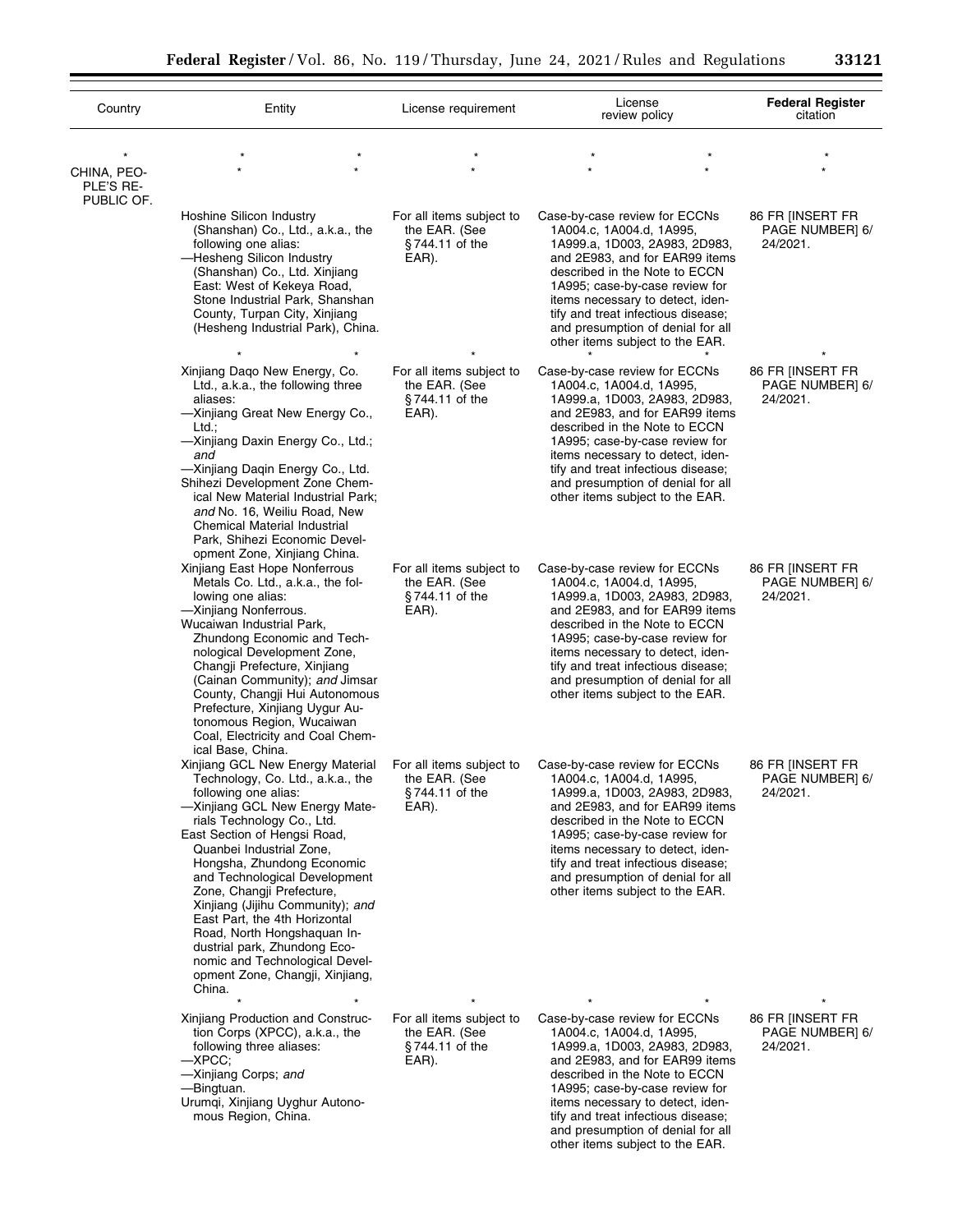| ٠ |               | r |  |
|---|---------------|---|--|
| ٠ | ٠<br>н<br>. . |   |  |

÷.

| Country<br>CHINA, PEO-<br>PLE'S RE-<br>PUBLIC OF. | Entity                                                                                                                                                                                                                                                                                                                                                                                                                                                                                                                                                        | License requirement                                                    | License<br>review policy                                                                                                                                                                                                                                                                                                                          | <b>Federal Register</b><br>citation             |
|---------------------------------------------------|---------------------------------------------------------------------------------------------------------------------------------------------------------------------------------------------------------------------------------------------------------------------------------------------------------------------------------------------------------------------------------------------------------------------------------------------------------------------------------------------------------------------------------------------------------------|------------------------------------------------------------------------|---------------------------------------------------------------------------------------------------------------------------------------------------------------------------------------------------------------------------------------------------------------------------------------------------------------------------------------------------|-------------------------------------------------|
|                                                   |                                                                                                                                                                                                                                                                                                                                                                                                                                                                                                                                                               |                                                                        |                                                                                                                                                                                                                                                                                                                                                   |                                                 |
|                                                   | Hoshine Silicon Industry<br>(Shanshan) Co., Ltd., a.k.a., the<br>following one alias:<br>-Hesheng Silicon Industry<br>(Shanshan) Co., Ltd. Xinjiang<br>East: West of Kekeya Road,<br>Stone Industrial Park, Shanshan<br>County, Turpan City, Xinjiang<br>(Hesheng Industrial Park), China.                                                                                                                                                                                                                                                                    | For all items subject to<br>the EAR. (See<br>$§744.11$ of the<br>EAR). | Case-by-case review for ECCNs<br>1A004.c, 1A004.d, 1A995,<br>1A999.a, 1D003, 2A983, 2D983,<br>and 2E983, and for EAR99 items<br>described in the Note to ECCN<br>1A995; case-by-case review for<br>items necessary to detect, iden-<br>tify and treat infectious disease;<br>and presumption of denial for all<br>other items subject to the EAR. | 86 FR INSERT FR<br>PAGE NUMBER] 6/<br>24/2021.  |
|                                                   | Xinjiang Daqo New Energy, Co.<br>Ltd., a.k.a., the following three<br>aliases:<br>-Xinjiang Great New Energy Co.,<br>Ltd.:<br>-Xinjiang Daxin Energy Co., Ltd.;<br>and<br>-Xinjiang Daqin Energy Co., Ltd.<br>Shihezi Development Zone Chem-<br>ical New Material Industrial Park;<br>and No. 16, Weiliu Road, New<br>Chemical Material Industrial<br>Park, Shihezi Economic Devel-                                                                                                                                                                           | For all items subject to<br>the EAR. (See<br>$§744.11$ of the<br>EAR). | Case-by-case review for ECCNs<br>1A004.c, 1A004.d, 1A995,<br>1A999.a, 1D003, 2A983, 2D983,<br>and 2E983, and for EAR99 items<br>described in the Note to ECCN<br>1A995; case-by-case review for<br>items necessary to detect, iden-<br>tify and treat infectious disease;<br>and presumption of denial for all<br>other items subject to the EAR. | 86 FR INSERT FR<br>PAGE NUMBER] 6/<br>24/2021.  |
|                                                   | opment Zone, Xinjiang China.<br>Xinjiang East Hope Nonferrous<br>Metals Co. Ltd., a.k.a., the fol-<br>lowing one alias:<br>-Xinjiang Nonferrous.<br>Wucaiwan Industrial Park,<br>Zhundong Economic and Tech-<br>nological Development Zone,<br>Changji Prefecture, Xinjiang<br>(Cainan Community); and Jimsar<br>County, Changji Hui Autonomous<br>Prefecture, Xinjiang Uygur Au-<br>tonomous Region, Wucaiwan<br>Coal, Electricity and Coal Chem-                                                                                                            | For all items subject to<br>the EAR. (See<br>$§744.11$ of the<br>EAR). | Case-by-case review for ECCNs<br>1A004.c, 1A004.d, 1A995,<br>1A999.a, 1D003, 2A983, 2D983,<br>and 2E983, and for EAR99 items<br>described in the Note to ECCN<br>1A995; case-by-case review for<br>items necessary to detect, iden-<br>tify and treat infectious disease;<br>and presumption of denial for all<br>other items subject to the EAR. | 86 FR INSERT FR<br>PAGE NUMBER] 6/<br>24/2021.  |
|                                                   | ical Base, China.<br>Xinjiang GCL New Energy Material<br>Technology, Co. Ltd., a.k.a., the<br>following one alias:<br>-Xinjiang GCL New Energy Mate-<br>rials Technology Co., Ltd.<br>East Section of Hengsi Road,<br>Quanbei Industrial Zone,<br>Hongsha, Zhundong Economic<br>and Technological Development<br>Zone, Changji Prefecture,<br>Xinjiang (Jijihu Community); and<br>East Part, the 4th Horizontal<br>Road, North Hongshaquan In-<br>dustrial park, Zhundong Eco-<br>nomic and Technological Devel-<br>opment Zone, Changji, Xinjiang,<br>China. | For all items subject to<br>the EAR. (See<br>§744.11 of the<br>EAR).   | Case-by-case review for ECCNs<br>1A004.c, 1A004.d, 1A995,<br>1A999.a, 1D003, 2A983, 2D983,<br>and 2E983, and for EAR99 items<br>described in the Note to ECCN<br>1A995; case-by-case review for<br>items necessary to detect, iden-<br>tify and treat infectious disease;<br>and presumption of denial for all<br>other items subject to the EAR. | 86 FR [INSERT FR<br>PAGE NUMBER] 6/<br>24/2021. |
|                                                   | Xinjiang Production and Construc-<br>tion Corps (XPCC), a.k.a., the<br>following three aliases:<br>$-XPCC;$<br>-Xinjiang Corps; and<br>—Bingtuan.<br>Urumqi, Xinjiang Uyghur Autono-<br>mous Region, China.                                                                                                                                                                                                                                                                                                                                                   | For all items subject to<br>the EAR. (See<br>$§744.11$ of the<br>EAR). | Case-by-case review for ECCNs<br>1A004.c, 1A004.d, 1A995,<br>1A999.a, 1D003, 2A983, 2D983,<br>and 2E983, and for EAR99 items<br>described in the Note to ECCN<br>1A995; case-by-case review for<br>items necessary to detect, iden-<br>tify and treat infectious disease;<br>and presumption of denial for all<br>other items subject to the EAR. | 86 FR [INSERT FR<br>PAGE NUMBER] 6/<br>24/2021. |